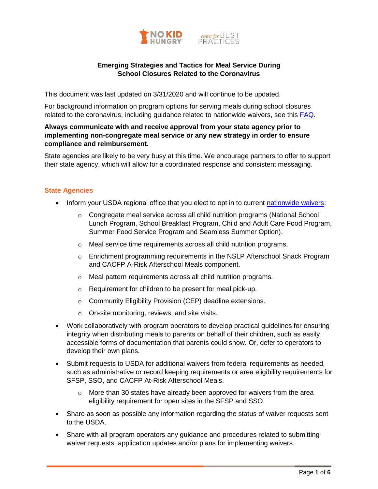

# **Emerging Strategies and Tactics for Meal Service During School Closures Related to the Coronavirus**

This document was last updated on 3/31/2020 and will continue to be updated.

For background information on program options for serving meals during school closures related to the coronavirus, including guidance related to nationwide waivers, see this [FAQ.](https://bestpractices.nokidhungry.org/resource/faqs-child-nutrition-program-options-available-during-school-closures-related-coronavirus)

### **Always communicate with and receive approval from your state agency prior to implementing non-congregate meal service or any new strategy in order to ensure compliance and reimbursement.**

State agencies are likely to be very busy at this time. We encourage partners to offer to support their state agency, which will allow for a coordinated response and consistent messaging.

### **State Agencies**

- Inform your USDA regional office that you elect to opt in to current [nationwide waivers:](https://www.fns.usda.gov/disaster/pandemic/covid-19)
	- $\circ$  Congregate meal service across all child nutrition programs (National School Lunch Program, School Breakfast Program, Child and Adult Care Food Program, Summer Food Service Program and Seamless Summer Option).
	- o Meal service time requirements across all child nutrition programs.
	- o Enrichment programming requirements in the NSLP Afterschool Snack Program and CACFP A-Risk Afterschool Meals component.
	- o Meal pattern requirements across all child nutrition programs.
	- o Requirement for children to be present for meal pick-up.
	- o Community Eligibility Provision (CEP) deadline extensions.
	- o On-site monitoring, reviews, and site visits.
- Work collaboratively with program operators to develop practical guidelines for ensuring integrity when distributing meals to parents on behalf of their children, such as easily accessible forms of documentation that parents could show. Or, defer to operators to develop their own plans.
- Submit requests to USDA for additional waivers from federal requirements as needed, such as administrative or record keeping requirements or area eligibility requirements for SFSP, SSO, and CACFP At-Risk Afterschool Meals.
	- $\circ$  More than 30 states have already been approved for waivers from the area eligibility requirement for open sites in the SFSP and SSO.
- Share as soon as possible any information regarding the status of waiver requests sent to the USDA.
- Share with all program operators any guidance and procedures related to submitting waiver requests, application updates and/or plans for implementing waivers.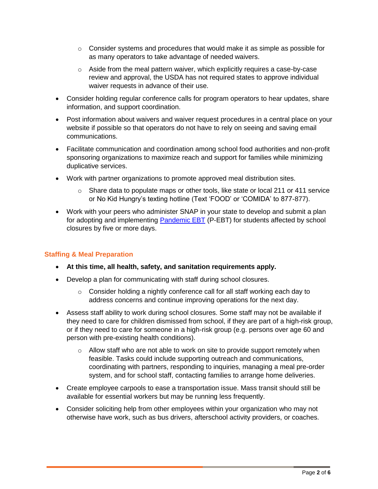- $\circ$  Consider systems and procedures that would make it as simple as possible for as many operators to take advantage of needed waivers.
- $\circ$  Aside from the meal pattern waiver, which explicitly requires a case-by-case review and approval, the USDA has not required states to approve individual waiver requests in advance of their use.
- Consider holding regular conference calls for program operators to hear updates, share information, and support coordination.
- Post information about waivers and waiver request procedures in a central place on your website if possible so that operators do not have to rely on seeing and saving email communications.
- Facilitate communication and coordination among school food authorities and non-profit sponsoring organizations to maximize reach and support for families while minimizing duplicative services.
- Work with partner organizations to promote approved meal distribution sites.
	- $\circ$  Share data to populate maps or other tools, like state or local 211 or 411 service or No Kid Hungry's texting hotline (Text 'FOOD' or 'COMIDA' to 877-877).
- Work with your peers who administer SNAP in your state to develop and submit a plan for adopting and implementing [Pandemic EBT](https://www.fns.usda.gov/resource/state-guidance-coronavirus-pandemic-ebt-p-ebt) (P-EBT) for students affected by school closures by five or more days.

# **Staffing & Meal Preparation**

- **At this time, all health, safety, and sanitation requirements apply.**
- Develop a plan for communicating with staff during school closures.
	- o Consider holding a nightly conference call for all staff working each day to address concerns and continue improving operations for the next day.
- Assess staff ability to work during school closures. Some staff may not be available if they need to care for children dismissed from school, if they are part of a high-risk group, or if they need to care for someone in a high-risk group (e.g. persons over age 60 and person with pre-existing health conditions).
	- $\circ$  Allow staff who are not able to work on site to provide support remotely when feasible. Tasks could include supporting outreach and communications, coordinating with partners, responding to inquiries, managing a meal pre-order system, and for school staff, contacting families to arrange home deliveries.
- Create employee carpools to ease a transportation issue. Mass transit should still be available for essential workers but may be running less frequently.
- Consider soliciting help from other employees within your organization who may not otherwise have work, such as bus drivers, afterschool activity providers, or coaches.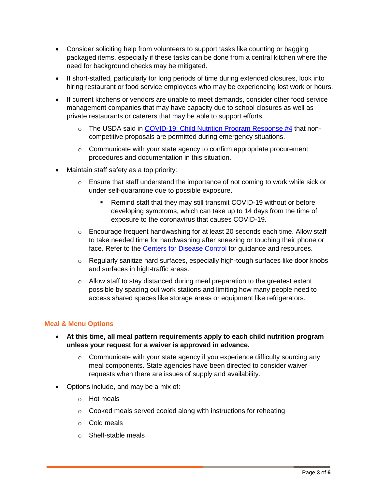- Consider soliciting help from volunteers to support tasks like counting or bagging packaged items, especially if these tasks can be done from a central kitchen where the need for background checks may be mitigated.
- If short-staffed, particularly for long periods of time during extended closures, look into hiring restaurant or food service employees who may be experiencing lost work or hours.
- If current kitchens or vendors are unable to meet demands, consider other food service management companies that may have capacity due to school closures as well as private restaurants or caterers that may be able to support efforts.
	- o The USDA said in [COVID-19: Child Nutrition Program Response #4](https://fns-prod.azureedge.net/sites/default/files/media/file/COVID19MealPatternNationwideWaiverFINAL.pdf) that noncompetitive proposals are permitted during emergency situations.
	- o Communicate with your state agency to confirm appropriate procurement procedures and documentation in this situation.
- Maintain staff safety as a top priority:
	- $\circ$  Ensure that staff understand the importance of not coming to work while sick or under self-quarantine due to possible exposure.
		- Remind staff that they may still transmit COVID-19 without or before developing symptoms, which can take up to 14 days from the time of exposure to the coronavirus that causes COVID-19.
	- $\circ$  Encourage frequent handwashing for at least 20 seconds each time. Allow staff to take needed time for handwashing after sneezing or touching their phone or face. Refer to the [Centers for Disease Control](https://www.cdc.gov/handwashing/when-how-handwashing.html) for guidance and resources.
	- $\circ$  Regularly sanitize hard surfaces, especially high-tough surfaces like door knobs and surfaces in high-traffic areas.
	- $\circ$  Allow staff to stay distanced during meal preparation to the greatest extent possible by spacing out work stations and limiting how many people need to access shared spaces like storage areas or equipment like refrigerators.

#### **Meal & Menu Options**

- **At this time, all meal pattern requirements apply to each child nutrition program unless your request for a waiver is approved in advance.** 
	- $\circ$  Communicate with your state agency if you experience difficulty sourcing any meal components. State agencies have been directed to consider waiver requests when there are issues of supply and availability.
- Options include, and may be a mix of:
	- o Hot meals
	- o Cooked meals served cooled along with instructions for reheating
	- o Cold meals
	- o Shelf-stable meals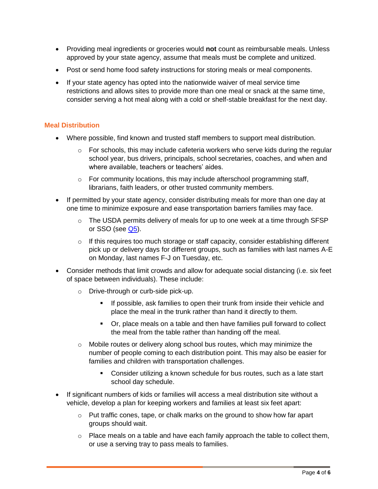- Providing meal ingredients or groceries would **not** count as reimbursable meals. Unless approved by your state agency, assume that meals must be complete and unitized.
- Post or send home food safety instructions for storing meals or meal components.
- If your state agency has opted into the nationwide waiver of meal service time restrictions and allows sites to provide more than one meal or snack at the same time, consider serving a hot meal along with a cold or shelf-stable breakfast for the next day.

#### **Meal Distribution**

- Where possible, find known and trusted staff members to support meal distribution.
	- $\circ$  For schools, this may include cafeteria workers who serve kids during the regular school year, bus drivers, principals, school secretaries, coaches, and when and where available, teachers or teachers' aides.
	- o For community locations, this may include afterschool programming staff, librarians, faith leaders, or other trusted community members.
- If permitted by your state agency, consider distributing meals for more than one day at one time to minimize exposure and ease transportation barriers families may face.
	- $\circ$  The USDA permits delivery of meals for up to one week at a time through SFSP or SSO (see  $Q5$ ).
	- o If this requires too much storage or staff capacity, consider establishing different pick up or delivery days for different groups, such as families with last names A-E on Monday, last names F-J on Tuesday, etc.
- Consider methods that limit crowds and allow for adequate social distancing (i.e. six feet of space between individuals). These include:
	- o Drive-through or curb-side pick-up.
		- If possible, ask families to open their trunk from inside their vehicle and place the meal in the trunk rather than hand it directly to them.
		- Or, place meals on a table and then have families pull forward to collect the meal from the table rather than handing off the meal.
	- $\circ$  Mobile routes or delivery along school bus routes, which may minimize the number of people coming to each distribution point. This may also be easier for families and children with transportation challenges.
		- Consider utilizing a known schedule for bus routes, such as a late start school day schedule.
- If significant numbers of kids or families will access a meal distribution site without a vehicle, develop a plan for keeping workers and families at least six feet apart:
	- $\circ$  Put traffic cones, tape, or chalk marks on the ground to show how far apart groups should wait.
	- o Place meals on a table and have each family approach the table to collect them, or use a serving tray to pass meals to families.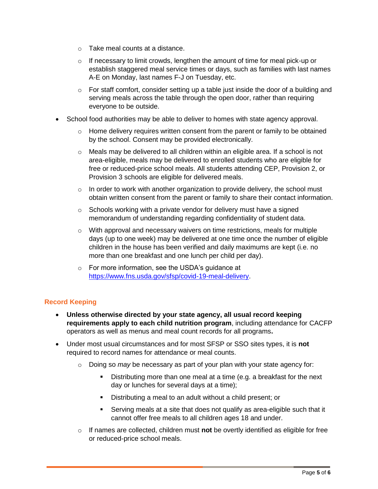- o Take meal counts at a distance.
- o If necessary to limit crowds, lengthen the amount of time for meal pick-up or establish staggered meal service times or days, such as families with last names A-E on Monday, last names F-J on Tuesday, etc.
- $\circ$  For staff comfort, consider setting up a table just inside the door of a building and serving meals across the table through the open door, rather than requiring everyone to be outside.
- School food authorities may be able to deliver to homes with state agency approval.
	- $\circ$  Home delivery requires written consent from the parent or family to be obtained by the school. Consent may be provided electronically.
	- $\circ$  Meals may be delivered to all children within an eligible area. If a school is not area-eligible, meals may be delivered to enrolled students who are eligible for free or reduced-price school meals. All students attending CEP, Provision 2, or Provision 3 schools are eligible for delivered meals.
	- $\circ$  In order to work with another organization to provide delivery, the school must obtain written consent from the parent or family to share their contact information.
	- $\circ$  Schools working with a private vendor for delivery must have a signed memorandum of understanding regarding confidentiality of student data.
	- $\circ$  With approval and necessary waivers on time restrictions, meals for multiple days (up to one week) may be delivered at one time once the number of eligible children in the house has been verified and daily maximums are kept (i.e. no more than one breakfast and one lunch per child per day).
	- o For more information, see the USDA's guidance at [https://www.fns.usda.gov/sfsp/covid-19-meal-delivery.](https://www.fns.usda.gov/sfsp/covid-19-meal-delivery)

# **Record Keeping**

- **Unless otherwise directed by your state agency, all usual record keeping requirements apply to each child nutrition program**, including attendance for CACFP operators as well as menus and meal count records for all programs**.**
- Under most usual circumstances and for most SFSP or SSO sites types, it is **not** required to record names for attendance or meal counts.
	- o Doing so *may* be necessary as part of your plan with your state agency for:
		- Distributing more than one meal at a time (e.g. a breakfast for the next day or lunches for several days at a time);
		- Distributing a meal to an adult without a child present; or
		- Serving meals at a site that does not qualify as area-eligible such that it cannot offer free meals to all children ages 18 and under.
	- o If names are collected, children must **not** be overtly identified as eligible for free or reduced-price school meals.